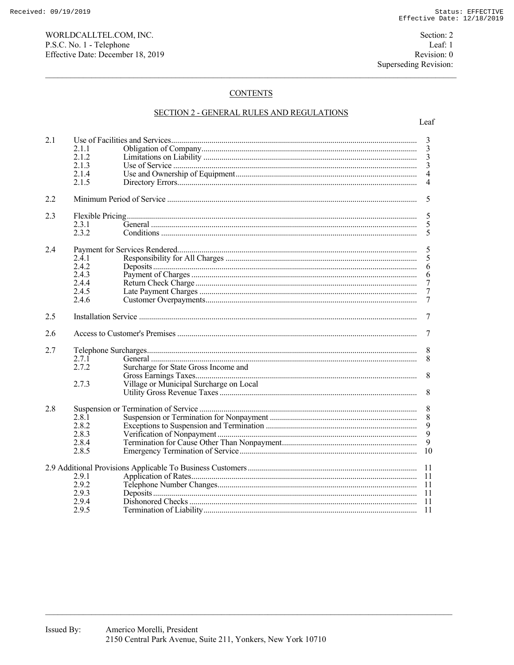## **CONTENTS**

## SECTION 2 - GENERAL RULES AND REGULATIONS

| 2.1 |       |                                         | 3              |  |  |  |
|-----|-------|-----------------------------------------|----------------|--|--|--|
|     | 2.1.1 |                                         | 3              |  |  |  |
|     | 2.1.2 |                                         | 3              |  |  |  |
|     | 2.1.3 |                                         | 3              |  |  |  |
|     | 2.1.4 |                                         | $\overline{4}$ |  |  |  |
|     | 2.1.5 |                                         | $\overline{4}$ |  |  |  |
|     |       |                                         |                |  |  |  |
| 2.2 |       | 5                                       |                |  |  |  |
| 2.3 |       |                                         |                |  |  |  |
|     | 2.3.1 |                                         | 5<br>5         |  |  |  |
|     | 2.3.2 |                                         | 5              |  |  |  |
|     |       |                                         |                |  |  |  |
| 2.4 |       | 5                                       |                |  |  |  |
|     | 2.4.1 |                                         | 5              |  |  |  |
|     | 2.4.2 |                                         | 6              |  |  |  |
|     | 2.4.3 |                                         |                |  |  |  |
|     |       |                                         | 6              |  |  |  |
|     | 2.4.4 |                                         | 7              |  |  |  |
|     | 2.4.5 |                                         | $\tau$         |  |  |  |
|     | 2.4.6 |                                         | $\tau$         |  |  |  |
| 2.5 |       | 7                                       |                |  |  |  |
|     |       |                                         |                |  |  |  |
| 2.6 |       | 7                                       |                |  |  |  |
| 2.7 |       |                                         | 8              |  |  |  |
|     | 2.7.1 |                                         | 8              |  |  |  |
|     | 2.7.2 | Surcharge for State Gross Income and    |                |  |  |  |
|     |       |                                         | 8              |  |  |  |
|     | 2.7.3 | Village or Municipal Surcharge on Local |                |  |  |  |
|     |       |                                         | 8              |  |  |  |
|     |       |                                         |                |  |  |  |
| 2.8 |       |                                         | 8              |  |  |  |
|     | 2.8.1 |                                         | 8              |  |  |  |
|     | 2.8.2 |                                         |                |  |  |  |
|     | 2.8.3 |                                         | $\frac{9}{9}$  |  |  |  |
|     | 2.8.4 |                                         | 9              |  |  |  |
|     |       |                                         |                |  |  |  |
|     | 2.8.5 |                                         | 10             |  |  |  |
|     |       |                                         | -11            |  |  |  |
|     | 2.9.1 |                                         |                |  |  |  |
|     | 2.9.2 |                                         | - 11           |  |  |  |
|     | 2.9.3 |                                         |                |  |  |  |
|     |       |                                         |                |  |  |  |
|     | 2.9.4 |                                         |                |  |  |  |
|     | 2.9.5 |                                         | 11             |  |  |  |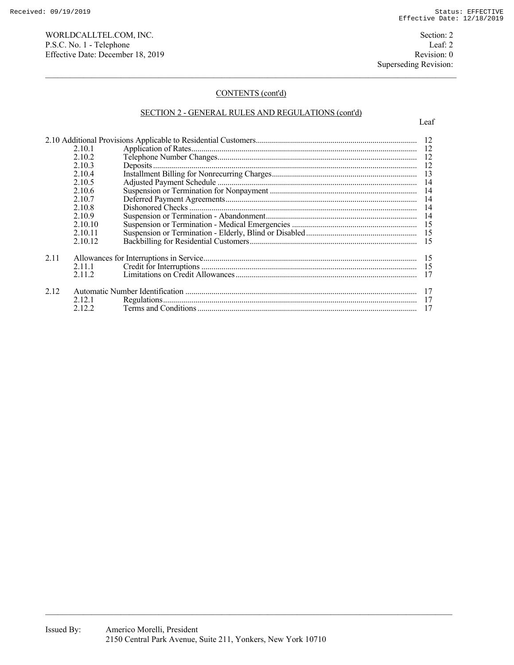WORLDCALLTEL.COM, INC. Section: 2 P.S.C. No. 1 - Telephone Leaf: 2<br>
Effective Date: December 18, 2019 Revision: 0 Effective Date: December 18, 2019

# CONTENTS (cont'd)

## SECTION 2 - GENERAL RULES AND REGULATIONS (cont'd)

|      | 2.10.3  |  |  |
|------|---------|--|--|
|      | 2.10.4  |  |  |
|      | 2.10.5  |  |  |
|      | 2.10.6  |  |  |
|      | 2.10.7  |  |  |
|      | 2.10.8  |  |  |
|      | 2.10.9  |  |  |
|      | 2.10.10 |  |  |
|      | 2.10.11 |  |  |
|      | 2.10.12 |  |  |
| 2.11 |         |  |  |
|      | 2.11.1  |  |  |
|      | 2.11.2  |  |  |
|      |         |  |  |
| 2.12 |         |  |  |
|      | 2.12.1  |  |  |
|      | 2.12.2  |  |  |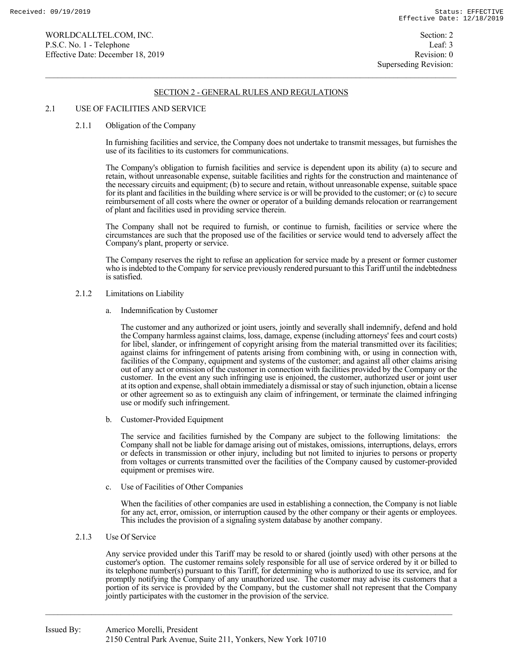### 2.1 USE OF FACILITIES AND SERVICE

#### 2.1.1 Obligation of the Company

 In furnishing facilities and service, the Company does not undertake to transmit messages, but furnishes the use of its facilities to its customers for communications.

 The Company's obligation to furnish facilities and service is dependent upon its ability (a) to secure and retain, without unreasonable expense, suitable facilities and rights for the construction and maintenance of the necessary circuits and equipment; (b) to secure and retain, without unreasonable expense, suitable space for its plant and facilities in the building where service is or will be provided to the customer; or (c) to secure reimbursement of all costs where the owner or operator of a building demands relocation or rearrangement of plant and facilities used in providing service therein.

 The Company shall not be required to furnish, or continue to furnish, facilities or service where the circumstances are such that the proposed use of the facilities or service would tend to adversely affect the Company's plant, property or service.

 The Company reserves the right to refuse an application for service made by a present or former customer who is indebted to the Company for service previously rendered pursuant to this Tariff until the indebtedness is satisfied.

### 2.1.2 Limitations on Liability

a. Indemnification by Customer

 The customer and any authorized or joint users, jointly and severally shall indemnify, defend and hold the Company harmless against claims, loss, damage, expense (including attorneys' fees and court costs) for libel, slander, or infringement of copyright arising from the material transmitted over its facilities; against claims for infringement of patents arising from combining with, or using in connection with, facilities of the Company, equipment and systems of the customer; and against all other claims arising out of any act or omission of the customer in connection with facilities provided by the Company or the customer. In the event any such infringing use is enjoined, the customer, authorized user or joint user at its option and expense, shall obtain immediately a dismissal or stay of such injunction, obtain a license or other agreement so as to extinguish any claim of infringement, or terminate the claimed infringing use or modify such infringement.

b. Customer-Provided Equipment

 The service and facilities furnished by the Company are subject to the following limitations: the Company shall not be liable for damage arising out of mistakes, omissions, interruptions, delays, errors or defects in transmission or other injury, including but not limited to injuries to persons or property from voltages or currents transmitted over the facilities of the Company caused by customer-provided equipment or premises wire.

c. Use of Facilities of Other Companies

 When the facilities of other companies are used in establishing a connection, the Company is not liable for any act, error, omission, or interruption caused by the other company or their agents or employees. This includes the provision of a signaling system database by another company.

## 2.1.3 Use Of Service

 Any service provided under this Tariff may be resold to or shared (jointly used) with other persons at the customer's option. The customer remains solely responsible for all use of service ordered by it or billed to its telephone number(s) pursuant to this Tariff, for determining who is authorized to use its service, and for promptly notifying the Company of any unauthorized use. The customer may advise its customers that a portion of its service is provided by the Company, but the customer shall not represent that the Company jointly participates with the customer in the provision of the service.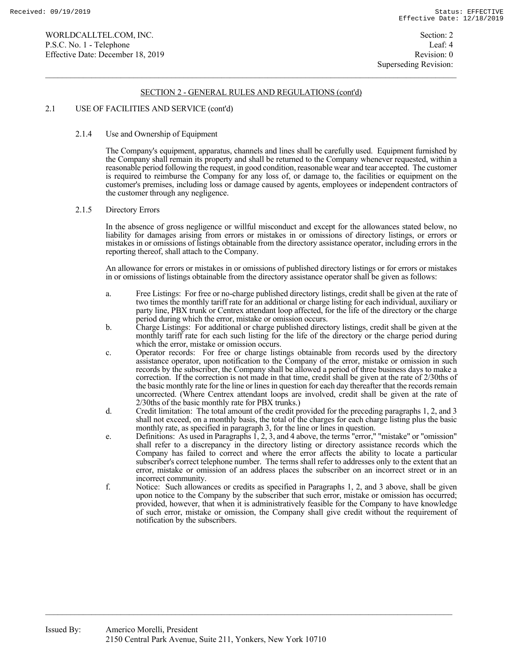## 2.1 USE OF FACILITIES AND SERVICE (cont'd)

### 2.1.4 Use and Ownership of Equipment

 The Company's equipment, apparatus, channels and lines shall be carefully used. Equipment furnished by the Company shall remain its property and shall be returned to the Company whenever requested, within a reasonable period following the request, in good condition, reasonable wear and tear accepted. The customer is required to reimburse the Company for any loss of, or damage to, the facilities or equipment on the customer's premises, including loss or damage caused by agents, employees or independent contractors of the customer through any negligence.

#### 2.1.5 Directory Errors

 In the absence of gross negligence or willful misconduct and except for the allowances stated below, no liability for damages arising from errors or mistakes in or omissions of directory listings, or errors or mistakes in or omissions of listings obtainable from the directory assistance operator, including errors in the reporting thereof, shall attach to the Company.

 An allowance for errors or mistakes in or omissions of published directory listings or for errors or mistakes in or omissions of listings obtainable from the directory assistance operator shall be given as follows:

- a. Free Listings: For free or no-charge published directory listings, credit shall be given at the rate of two times the monthly tariff rate for an additional or charge listing for each individual, auxiliary or party line, PBX trunk or Centrex attendant loop affected, for the life of the directory or the charge period during which the error, mistake or omission occurs.
- b. Charge Listings: For additional or charge published directory listings, credit shall be given at the monthly tariff rate for each such listing for the life of the directory or the charge period during which the error, mistake or omission occurs.
- c. Operator records: For free or charge listings obtainable from records used by the directory assistance operator, upon notification to the Company of the error, mistake or omission in such records by the subscriber, the Company shall be allowed a period of three business days to make a correction. If the correction is not made in that time, credit shall be given at the rate of 2/30ths of the basic monthly rate for the line or lines in question for each day thereafter that the records remain uncorrected. (Where Centrex attendant loops are involved, credit shall be given at the rate of 2/30ths of the basic monthly rate for PBX trunks.)
- d. Credit limitation: The total amount of the credit provided for the preceding paragraphs 1, 2, and 3 shall not exceed, on a monthly basis, the total of the charges for each charge listing plus the basic monthly rate, as specified in paragraph 3, for the line or lines in question.
- e. Definitions: As used in Paragraphs  $1, 2, 3$ , and 4 above, the terms "error," "mistake" or "omission" shall refer to a discrepancy in the directory listing or directory assistance records which the Company has failed to correct and where the error affects the ability to locate a particular subscriber's correct telephone number. The terms shall refer to addresses only to the extent that an error, mistake or omission of an address places the subscriber on an incorrect street or in an incorrect community.
- f. Notice: Such allowances or credits as specified in Paragraphs 1, 2, and 3 above, shall be given upon notice to the Company by the subscriber that such error, mistake or omission has occurred; provided, however, that when it is administratively feasible for the Company to have knowledge of such error, mistake or omission, the Company shall give credit without the requirement of notification by the subscribers.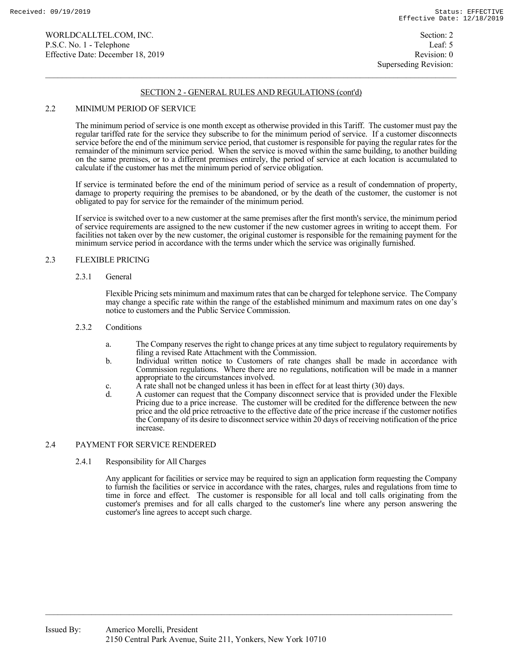## 2.2 MINIMUM PERIOD OF SERVICE

 The minimum period of service is one month except as otherwise provided in this Tariff. The customer must pay the regular tariffed rate for the service they subscribe to for the minimum period of service. If a customer disconnects service before the end of the minimum service period, that customer is responsible for paying the regular rates for the remainder of the minimum service period. When the service is moved within the same building, to another building on the same premises, or to a different premises entirely, the period of service at each location is accumulated to calculate if the customer has met the minimum period of service obligation.

 If service is terminated before the end of the minimum period of service as a result of condemnation of property, damage to property requiring the premises to be abandoned, or by the death of the customer, the customer is not obligated to pay for service for the remainder of the minimum period.

 If service is switched over to a new customer at the same premises after the first month's service, the minimum period of service requirements are assigned to the new customer if the new customer agrees in writing to accept them. For facilities not taken over by the new customer, the original customer is responsible for the remaining payment for the minimum service period in accordance with the terms under which the service was originally furnished.

## 2.3 FLEXIBLE PRICING

### 2.3.1 General

 Flexible Pricing sets minimum and maximum rates that can be charged for telephone service. The Company may change a specific rate within the range of the established minimum and maximum rates on one day's notice to customers and the Public Service Commission.

## 2.3.2 Conditions

- a. The Company reserves the right to change prices at any time subject to regulatory requirements by filing a revised Rate Attachment with the Commission.
- b. Individual written notice to Customers of rate changes shall be made in accordance with Commission regulations. Where there are no regulations, notification will be made in a manner appropriate to the circumstances involved.
- c. A rate shall not be changed unless it has been in effect for at least thirty (30) days.
- d. A customer can request that the Company disconnect service that is provided under the Flexible Pricing due to a price increase. The customer will be credited for the difference between the new price and the old price retroactive to the effective date of the price increase if the customer notifies the Company of its desire to disconnect service within 20 days of receiving notification of the price increase.

### 2.4 PAYMENT FOR SERVICE RENDERED

2.4.1 Responsibility for All Charges

 Any applicant for facilities or service may be required to sign an application form requesting the Company to furnish the facilities or service in accordance with the rates, charges, rules and regulations from time to time in force and effect. The customer is responsible for all local and toll calls originating from the customer's premises and for all calls charged to the customer's line where any person answering the customer's line agrees to accept such charge.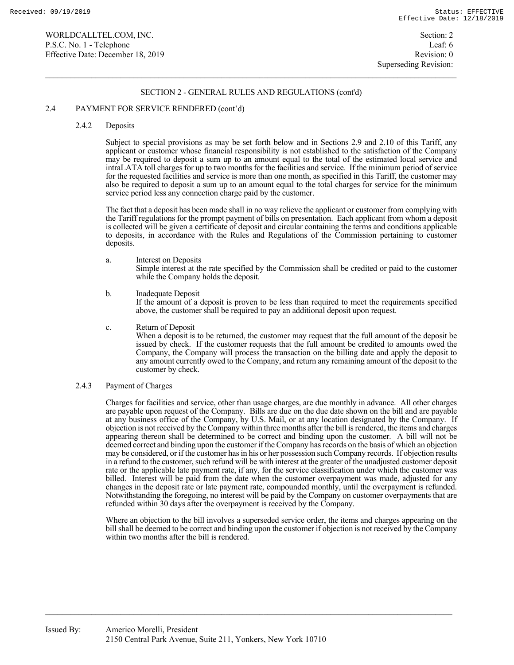### 2.4 PAYMENT FOR SERVICE RENDERED (cont'd)

#### 2.4.2 Deposits

 Subject to special provisions as may be set forth below and in Sections 2.9 and 2.10 of this Tariff, any applicant or customer whose financial responsibility is not established to the satisfaction of the Company may be required to deposit a sum up to an amount equal to the total of the estimated local service and intraLATA toll charges for up to two months for the facilities and service. If the minimum period of service for the requested facilities and service is more than one month, as specified in this Tariff, the customer may also be required to deposit a sum up to an amount equal to the total charges for service for the minimum service period less any connection charge paid by the customer.

 The fact that a deposit has been made shall in no way relieve the applicant or customer from complying with the Tariff regulations for the prompt payment of bills on presentation. Each applicant from whom a deposit is collected will be given a certificate of deposit and circular containing the terms and conditions applicable to deposits, in accordance with the Rules and Regulations of the Commission pertaining to customer deposits.

- a. Interest on Deposits Simple interest at the rate specified by the Commission shall be credited or paid to the customer while the Company holds the deposit.
- b. Inadequate Deposit If the amount of a deposit is proven to be less than required to meet the requirements specified

above, the customer shall be required to pay an additional deposit upon request.

c. Return of Deposit

 When a deposit is to be returned, the customer may request that the full amount of the deposit be issued by check. If the customer requests that the full amount be credited to amounts owed the Company, the Company will process the transaction on the billing date and apply the deposit to any amount currently owed to the Company, and return any remaining amount of the deposit to the customer by check.

2.4.3 Payment of Charges

 Charges for facilities and service, other than usage charges, are due monthly in advance. All other charges are payable upon request of the Company. Bills are due on the due date shown on the bill and are payable at any business office of the Company, by U.S. Mail, or at any location designated by the Company. If objection is not received by the Company within three months after the bill is rendered, the items and charges appearing thereon shall be determined to be correct and binding upon the customer. A bill will not be deemed correct and binding upon the customer if the Company has records on the basis of which an objection may be considered, or if the customer has in his or her possession such Company records. If objection results in a refund to the customer, such refund will be with interest at the greater of the unadjusted customer deposit rate or the applicable late payment rate, if any, for the service classification under which the customer was billed. Interest will be paid from the date when the customer overpayment was made, adjusted for any changes in the deposit rate or late payment rate, compounded monthly, until the overpayment is refunded. Notwithstanding the foregoing, no interest will be paid by the Company on customer overpayments that are refunded within 30 days after the overpayment is received by the Company.

 Where an objection to the bill involves a superseded service order, the items and charges appearing on the bill shall be deemed to be correct and binding upon the customer if objection is not received by the Company within two months after the bill is rendered.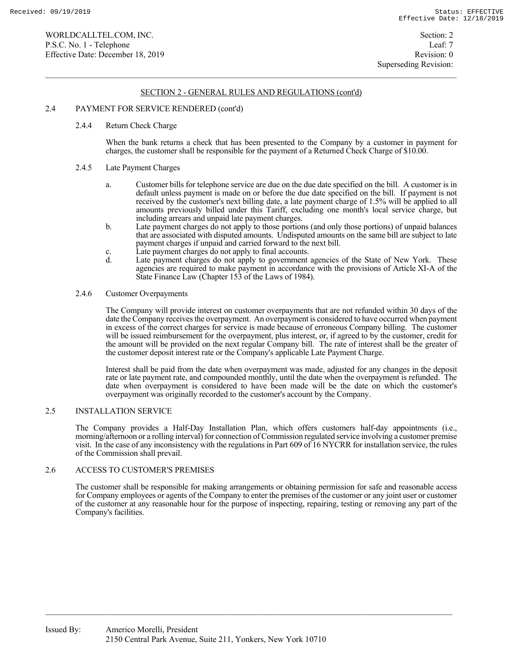### 2.4 PAYMENT FOR SERVICE RENDERED (cont'd)

#### 2.4.4 Return Check Charge

 When the bank returns a check that has been presented to the Company by a customer in payment for charges, the customer shall be responsible for the payment of a Returned Check Charge of \$10.00.

#### 2.4.5 Late Payment Charges

- a. Customer bills for telephone service are due on the due date specified on the bill. A customer is in default unless payment is made on or before the due date specified on the bill. If payment is not received by the customer's next billing date, a late payment charge of 1.5% will be applied to all amounts previously billed under this Tariff, excluding one month's local service charge, but including arrears and unpaid late payment charges.
- b. Late payment charges do not apply to those portions (and only those portions) of unpaid balances that are associated with disputed amounts. Undisputed amounts on the same bill are subject to late payment charges if unpaid and carried forward to the next bill.
- c. Late payment charges do not apply to final accounts.<br>d. Late payment charges do not apply to government
- Late payment charges do not apply to government agencies of the State of New York. These agencies are required to make payment in accordance with the provisions of Article XI-A of the State Finance Law (Chapter 153 of the Laws of 1984).

#### 2.4.6 Customer Overpayments

 The Company will provide interest on customer overpayments that are not refunded within 30 days of the date the Company receives the overpayment. An overpayment is considered to have occurred when payment in excess of the correct charges for service is made because of erroneous Company billing. The customer will be issued reimbursement for the overpayment, plus interest, or, if agreed to by the customer, credit for the amount will be provided on the next regular Company bill. The rate of interest shall be the greater of the customer deposit interest rate or the Company's applicable Late Payment Charge.

 Interest shall be paid from the date when overpayment was made, adjusted for any changes in the deposit rate or late payment rate, and compounded monthly, until the date when the overpayment is refunded. The date when overpayment is considered to have been made will be the date on which the customer's overpayment was originally recorded to the customer's account by the Company.

#### 2.5 INSTALLATION SERVICE

 The Company provides a Half-Day Installation Plan, which offers customers half-day appointments (i.e., morning/afternoon or a rolling interval) for connection of Commission regulated service involving a customer premise visit. In the case of any inconsistency with the regulations in Part 609 of 16 NYCRR for installation service, the rules of the Commission shall prevail.

### 2.6 ACCESS TO CUSTOMER'S PREMISES

The customer shall be responsible for making arrangements or obtaining permission for safe and reasonable access for Company employees or agents of the Company to enter the premises of the customer or any joint user or customer of the customer at any reasonable hour for the purpose of inspecting, repairing, testing or removing any part of the Company's facilities.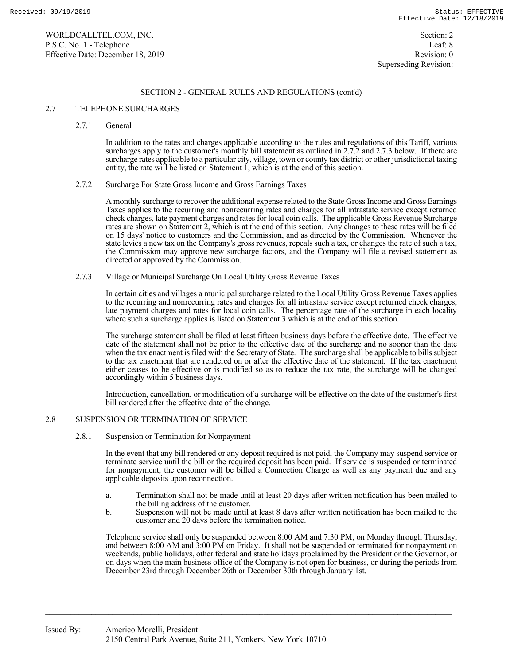### 2.7 TELEPHONE SURCHARGES

2.7.1 General

 In addition to the rates and charges applicable according to the rules and regulations of this Tariff, various surcharges apply to the customer's monthly bill statement as outlined in 2.7.2 and 2.7.3 below. If there are surcharge rates applicable to a particular city, village, town or county tax district or other jurisdictional taxing entity, the rate will be listed on Statement 1, which is at the end of this section.

#### 2.7.2 Surcharge For State Gross Income and Gross Earnings Taxes

 A monthly surcharge to recover the additional expense related to the State Gross Income and Gross Earnings Taxes applies to the recurring and nonrecurring rates and charges for all intrastate service except returned check charges, late payment charges and rates for local coin calls. The applicable Gross Revenue Surcharge rates are shown on Statement 2, which is at the end of this section. Any changes to these rates will be filed on 15 days' notice to customers and the Commission, and as directed by the Commission. Whenever the state levies a new tax on the Company's gross revenues, repeals such a tax, or changes the rate of such a tax, the Commission may approve new surcharge factors, and the Company will file a revised statement as directed or approved by the Commission.

2.7.3 Village or Municipal Surcharge On Local Utility Gross Revenue Taxes

 In certain cities and villages a municipal surcharge related to the Local Utility Gross Revenue Taxes applies to the recurring and nonrecurring rates and charges for all intrastate service except returned check charges, late payment charges and rates for local coin calls. The percentage rate of the surcharge in each locality where such a surcharge applies is listed on Statement 3 which is at the end of this section.

 The surcharge statement shall be filed at least fifteen business days before the effective date. The effective date of the statement shall not be prior to the effective date of the surcharge and no sooner than the date when the tax enactment is filed with the Secretary of State. The surcharge shall be applicable to bills subject to the tax enactment that are rendered on or after the effective date of the statement. If the tax enactment either ceases to be effective or is modified so as to reduce the tax rate, the surcharge will be changed accordingly within 5 business days.

 Introduction, cancellation, or modification of a surcharge will be effective on the date of the customer's first bill rendered after the effective date of the change.

## 2.8 SUSPENSION OR TERMINATION OF SERVICE

2.8.1 Suspension or Termination for Nonpayment

 In the event that any bill rendered or any deposit required is not paid, the Company may suspend service or terminate service until the bill or the required deposit has been paid. If service is suspended or terminated for nonpayment, the customer will be billed a Connection Charge as well as any payment due and any applicable deposits upon reconnection.

- a. Termination shall not be made until at least 20 days after written notification has been mailed to the billing address of the customer.
- b. Suspension will not be made until at least 8 days after written notification has been mailed to the customer and 20 days before the termination notice.

 Telephone service shall only be suspended between 8:00 AM and 7:30 PM, on Monday through Thursday, and between 8:00 AM and 3:00 PM on Friday. It shall not be suspended or terminated for nonpayment on weekends, public holidays, other federal and state holidays proclaimed by the President or the Governor, or on days when the main business office of the Company is not open for business, or during the periods from December 23rd through December 26th or December 30th through January 1st.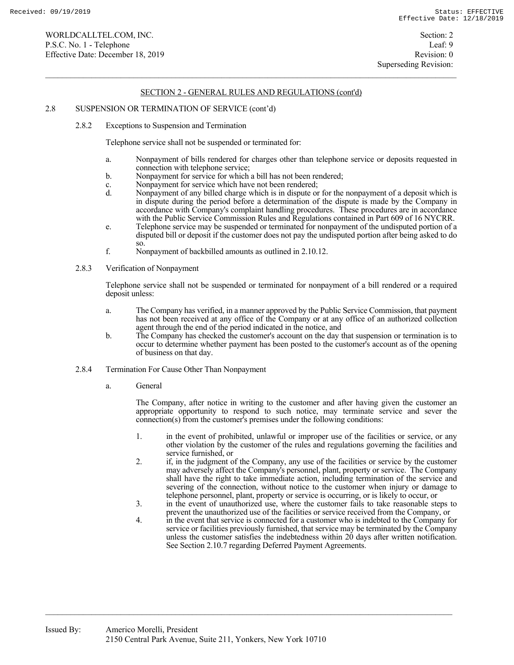#### 2.8 SUSPENSION OR TERMINATION OF SERVICE (cont'd)

2.8.2 Exceptions to Suspension and Termination

Telephone service shall not be suspended or terminated for:

- a. Nonpayment of bills rendered for charges other than telephone service or deposits requested in connection with telephone service;
- b. Nonpayment for service for which a bill has not been rendered;
- c. Nonpayment for service which have not been rendered;<br>d. Nonpayment of any billed charge which is in dispute or
- Nonpayment of any billed charge which is in dispute or for the nonpayment of a deposit which is in dispute during the period before a determination of the dispute is made by the Company in accordance with Company's complaint handling procedures. These procedures are in accordance with the Public Service Commission Rules and Regulations contained in Part 609 of 16 NYCRR.
- e. Telephone service may be suspended or terminated for nonpayment of the undisputed portion of a disputed bill or deposit if the customer does not pay the undisputed portion after being asked to do so.
- f. Nonpayment of backbilled amounts as outlined in 2.10.12.
- 2.8.3 Verification of Nonpayment

 Telephone service shall not be suspended or terminated for nonpayment of a bill rendered or a required deposit unless:

- a. The Company has verified, in a manner approved by the Public Service Commission, that payment has not been received at any office of the Company or at any office of an authorized collection agent through the end of the period indicated in the notice, and
- b. The Company has checked the customer's account on the day that suspension or termination is to occur to determine whether payment has been posted to the customer's account as of the opening of business on that day.
- 2.8.4 Termination For Cause Other Than Nonpayment
	- a. General

 The Company, after notice in writing to the customer and after having given the customer an appropriate opportunity to respond to such notice, may terminate service and sever the connection(s) from the customer's premises under the following conditions:

- 1. in the event of prohibited, unlawful or improper use of the facilities or service, or any other violation by the customer of the rules and regulations governing the facilities and service furnished, or
- 2. if, in the judgment of the Company, any use of the facilities or service by the customer may adversely affect the Company's personnel, plant, property or service. The Company shall have the right to take immediate action, including termination of the service and severing of the connection, without notice to the customer when injury or damage to telephone personnel, plant, property or service is occurring, or is likely to occur, or
- 3. in the event of unauthorized use, where the customer fails to take reasonable steps to prevent the unauthorized use of the facilities or service received from the Company, or
- 4. in the event that service is connected for a customer who is indebted to the Company for service or facilities previously furnished, that service may be terminated by the Company unless the customer satisfies the indebtedness within 20 days after written notification. See Section 2.10.7 regarding Deferred Payment Agreements.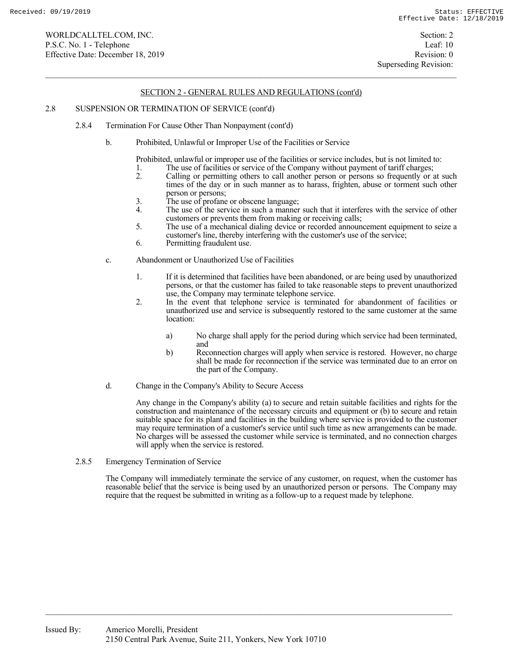Superseding Revision:

### SECTION 2 - GENERAL RULES AND REGULATIONS (cont'd)

#### 2.8 SUSPENSION OR TERMINATION OF SERVICE (cont'd)

- 2.8.4 Termination For Cause Other Than Nonpayment (cont'd)
	- b. Prohibited, Unlawful or Improper Use of the Facilities or Service
		- Prohibited, unlawful or improper use of the facilities or service includes, but is not limited to:
		- 1. The use of facilities or service of the Company without payment of tariff charges;<br>2. Calling or permitting others to call another person or persons so frequently or a
		- 2. Calling or permitting others to call another person or persons so frequently or at such times of the day or in such manner as to harass, frighten, abuse or torment such other person or persons;
		- 3. The use of profane or obscene language;<br>4. The use of the service in such a manner
		- The use of the service in such a manner such that it interferes with the service of other customers or prevents them from making or receiving calls;
		- 5. The use of a mechanical dialing device or recorded announcement equipment to seize a customer's line, thereby interfering with the customer's use of the service;
		- 6. Permitting fraudulent use.
	- c. Abandonment or Unauthorized Use of Facilities
		- 1. If it is determined that facilities have been abandoned, or are being used by unauthorized persons, or that the customer has failed to take reasonable steps to prevent unauthorized use, the Company may terminate telephone service.
		- 2. In the event that telephone service is terminated for abandonment of facilities or unauthorized use and service is subsequently restored to the same customer at the same location:
			- a) No charge shall apply for the period during which service had been terminated, and
			- b) Reconnection charges will apply when service is restored. However, no charge shall be made for reconnection if the service was terminated due to an error on the part of the Company.
	- d. Change in the Company's Ability to Secure Access

 Any change in the Company's ability (a) to secure and retain suitable facilities and rights for the construction and maintenance of the necessary circuits and equipment or (b) to secure and retain suitable space for its plant and facilities in the building where service is provided to the customer may require termination of a customer's service until such time as new arrangements can be made. No charges will be assessed the customer while service is terminated, and no connection charges will apply when the service is restored.

2.8.5 Emergency Termination of Service

 The Company will immediately terminate the service of any customer, on request, when the customer has reasonable belief that the service is being used by an unauthorized person or persons. The Company may require that the request be submitted in writing as a follow-up to a request made by telephone.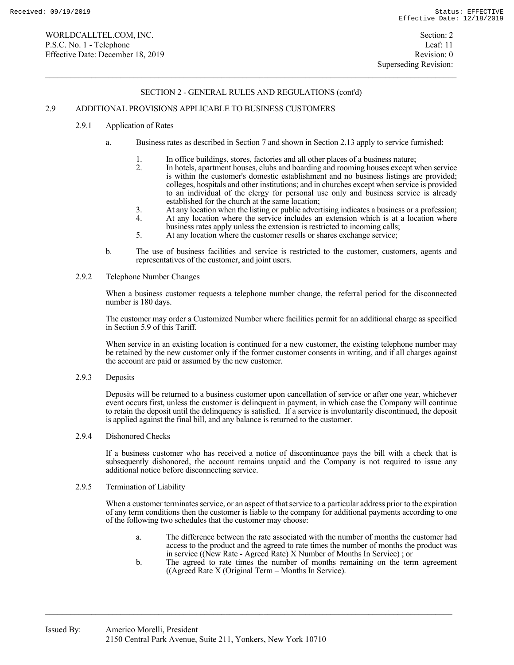### 2.9 ADDITIONAL PROVISIONS APPLICABLE TO BUSINESS CUSTOMERS

- 2.9.1 Application of Rates
	- a. Business rates as described in Section 7 and shown in Section 2.13 apply to service furnished:
		-
		- 1. In office buildings, stores, factories and all other places of a business nature;<br>2. In hotels, apartment houses, clubs and boarding and rooming houses except v 2. In hotels, apartment houses, clubs and boarding and rooming houses except when service is within the customer's domestic establishment and no business listings are provided; colleges, hospitals and other institutions; and in churches except when service is provided to an individual of the clergy for personal use only and business service is already established for the church at the same location;
		- 3. At any location when the listing or public advertising indicates a business or a profession;
		- 4. At any location where the service includes an extension which is at a location where
		- business rates apply unless the extension is restricted to incoming calls; 5. At any location where the customer resells or shares exchange service;
	- b. The use of business facilities and service is restricted to the customer, customers, agents and representatives of the customer, and joint users.
- 2.9.2 Telephone Number Changes

 When a business customer requests a telephone number change, the referral period for the disconnected number is 180 days.

 The customer may order a Customized Number where facilities permit for an additional charge as specified in Section 5.9 of this Tariff.

 When service in an existing location is continued for a new customer, the existing telephone number may be retained by the new customer only if the former customer consents in writing, and if all charges against the account are paid or assumed by the new customer.

2.9.3 Deposits

 Deposits will be returned to a business customer upon cancellation of service or after one year, whichever event occurs first, unless the customer is delinquent in payment, in which case the Company will continue to retain the deposit until the delinquency is satisfied. If a service is involuntarily discontinued, the deposit is applied against the final bill, and any balance is returned to the customer.

2.9.4 Dishonored Checks

 If a business customer who has received a notice of discontinuance pays the bill with a check that is subsequently dishonored, the account remains unpaid and the Company is not required to issue any additional notice before disconnecting service.

## 2.9.5 Termination of Liability

 When a customer terminates service, or an aspect of that service to a particular address prior to the expiration of any term conditions then the customer is liable to the company for additional payments according to one of the following two schedules that the customer may choose:

- a. The difference between the rate associated with the number of months the customer had access to the product and the agreed to rate times the number of months the product was in service ((New Rate - Agreed Rate) X Number of Months In Service); or<br>b. The agreed to rate times the number of months remaining on the term
- The agreed to rate times the number of months remaining on the term agreement ((Agreed Rate X (Original Term – Months In Service).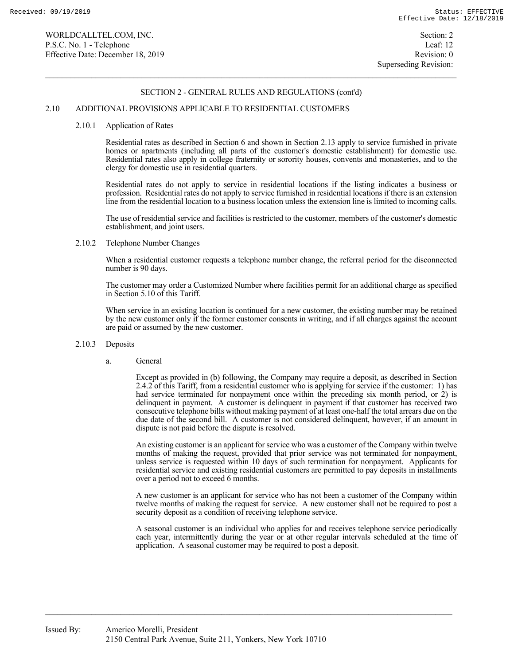#### 2.10 ADDITIONAL PROVISIONS APPLICABLE TO RESIDENTIAL CUSTOMERS

#### 2.10.1 Application of Rates

 Residential rates as described in Section 6 and shown in Section 2.13 apply to service furnished in private homes or apartments (including all parts of the customer's domestic establishment) for domestic use. Residential rates also apply in college fraternity or sorority houses, convents and monasteries, and to the clergy for domestic use in residential quarters.

 Residential rates do not apply to service in residential locations if the listing indicates a business or profession. Residential rates do not apply to service furnished in residential locations if there is an extension line from the residential location to a business location unless the extension line is limited to incoming calls.

 The use of residential service and facilities is restricted to the customer, members of the customer's domestic establishment, and joint users.

#### 2.10.2 Telephone Number Changes

 When a residential customer requests a telephone number change, the referral period for the disconnected number is 90 days.

 The customer may order a Customized Number where facilities permit for an additional charge as specified in Section 5.10 of this Tariff.

 When service in an existing location is continued for a new customer, the existing number may be retained by the new customer only if the former customer consents in writing, and if all charges against the account are paid or assumed by the new customer.

#### 2.10.3 Deposits

#### a. General

 Except as provided in (b) following, the Company may require a deposit, as described in Section 2.4.2 of this Tariff, from a residential customer who is applying for service if the customer: 1) has had service terminated for nonpayment once within the preceding six month period, or 2) is delinquent in payment. A customer is delinquent in payment if that customer has received two consecutive telephone bills without making payment of at least one-half the total arrears due on the due date of the second bill. A customer is not considered delinquent, however, if an amount in dispute is not paid before the dispute is resolved.

 An existing customer is an applicant for service who was a customer of the Company within twelve months of making the request, provided that prior service was not terminated for nonpayment, unless service is requested within 10 days of such termination for nonpayment. Applicants for residential service and existing residential customers are permitted to pay deposits in installments over a period not to exceed 6 months.

 A new customer is an applicant for service who has not been a customer of the Company within twelve months of making the request for service. A new customer shall not be required to post a security deposit as a condition of receiving telephone service.

 A seasonal customer is an individual who applies for and receives telephone service periodically each year, intermittently during the year or at other regular intervals scheduled at the time of application. A seasonal customer may be required to post a deposit.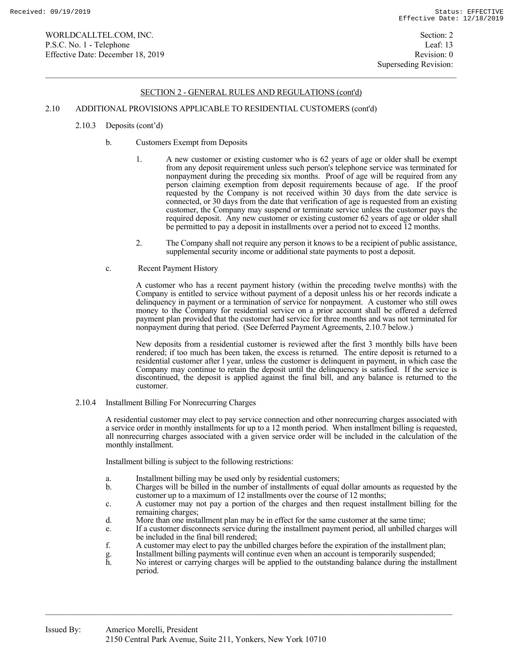## 2.10 ADDITIONAL PROVISIONS APPLICABLE TO RESIDENTIAL CUSTOMERS (cont'd)

- 2.10.3 Deposits (cont'd)
	- b. Customers Exempt from Deposits
		- 1. A new customer or existing customer who is 62 years of age or older shall be exempt from any deposit requirement unless such person's telephone service was terminated for nonpayment during the preceding six months. Proof of age will be required from any person claiming exemption from deposit requirements because of age. If the proof requested by the Company is not received within 30 days from the date service is connected, or 30 days from the date that verification of age is requested from an existing customer, the Company may suspend or terminate service unless the customer pays the required deposit. Any new customer or existing customer 62 years of age or older shall be permitted to pay a deposit in installments over a period not to exceed 12 months.
		- 2. The Company shall not require any person it knows to be a recipient of public assistance, supplemental security income or additional state payments to post a deposit.
	- c. Recent Payment History

 A customer who has a recent payment history (within the preceding twelve months) with the Company is entitled to service without payment of a deposit unless his or her records indicate a delinquency in payment or a termination of service for nonpayment. A customer who still owes money to the Company for residential service on a prior account shall be offered a deferred payment plan provided that the customer had service for three months and was not terminated for nonpayment during that period. (See Deferred Payment Agreements, 2.10.7 below.)

 New deposits from a residential customer is reviewed after the first 3 monthly bills have been rendered; if too much has been taken, the excess is returned. The entire deposit is returned to a residential customer after l year, unless the customer is delinquent in payment, in which case the Company may continue to retain the deposit until the delinquency is satisfied. If the service is discontinued, the deposit is applied against the final bill, and any balance is returned to the customer.

2.10.4 Installment Billing For Nonrecurring Charges

 A residential customer may elect to pay service connection and other nonrecurring charges associated with a service order in monthly installments for up to a 12 month period. When installment billing is requested, all nonrecurring charges associated with a given service order will be included in the calculation of the monthly installment.

Installment billing is subject to the following restrictions:

- a. Installment billing may be used only by residential customers;
- b. Charges will be billed in the number of installments of equal dollar amounts as requested by the customer up to a maximum of 12 installments over the course of 12 months;
- c. A customer may not pay a portion of the charges and then request installment billing for the remaining charges;
- d. More than one installment plan may be in effect for the same customer at the same time;
- e. If a customer disconnects service during the installment payment period, all unbilled charges will be included in the final bill rendered;
- f. A customer may elect to pay the unbilled charges before the expiration of the installment plan;
- g. Installment billing payments will continue even when an account is temporarily suspended;<br>h. No interest or carrying charges will be applied to the outstanding balance during the instal
- h. No interest or carrying charges will be applied to the outstanding balance during the installment period.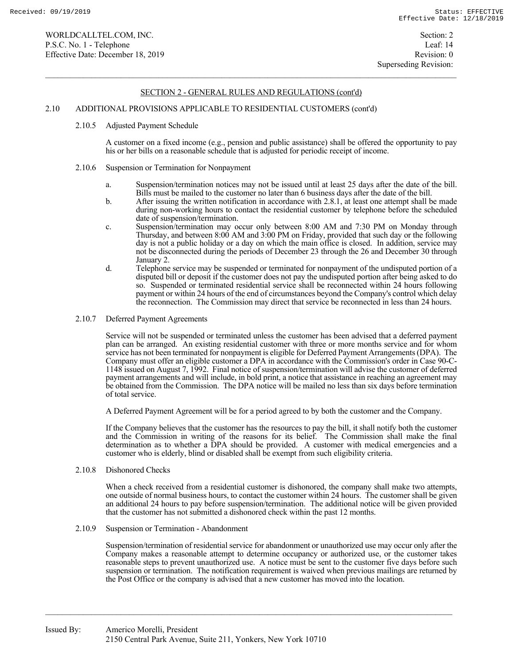### 2.10 ADDITIONAL PROVISIONS APPLICABLE TO RESIDENTIAL CUSTOMERS (cont'd)

#### 2.10.5 Adjusted Payment Schedule

 A customer on a fixed income (e.g., pension and public assistance) shall be offered the opportunity to pay his or her bills on a reasonable schedule that is adjusted for periodic receipt of income.

#### 2.10.6 Suspension or Termination for Nonpayment

- a. Suspension/termination notices may not be issued until at least 25 days after the date of the bill. Bills must be mailed to the customer no later than 6 business days after the date of the bill.
- b. After issuing the written notification in accordance with 2.8.1, at least one attempt shall be made during non-working hours to contact the residential customer by telephone before the scheduled date of suspension/termination.
- c. Suspension/termination may occur only between 8:00 AM and 7:30 PM on Monday through Thursday, and between 8:00 AM and 3:00 PM on Friday, provided that such day or the following day is not a public holiday or a day on which the main office is closed. In addition, service may not be disconnected during the periods of December 23 through the 26 and December 30 through January 2.
- d. Telephone service may be suspended or terminated for nonpayment of the undisputed portion of a disputed bill or deposit if the customer does not pay the undisputed portion after being asked to do so. Suspended or terminated residential service shall be reconnected within 24 hours following payment or within 24 hours of the end of circumstances beyond the Company's control which delay the reconnection. The Commission may direct that service be reconnected in less than 24 hours.
- 2.10.7 Deferred Payment Agreements

 Service will not be suspended or terminated unless the customer has been advised that a deferred payment plan can be arranged. An existing residential customer with three or more months service and for whom service has not been terminated for nonpayment is eligible for Deferred Payment Arrangements (DPA). The Company must offer an eligible customer a DPA in accordance with the Commission's order in Case 90-C-1148 issued on August 7, 1992. Final notice of suspension/termination will advise the customer of deferred payment arrangements and will include, in bold print, a notice that assistance in reaching an agreement may be obtained from the Commission. The DPA notice will be mailed no less than six days before termination of total service.

A Deferred Payment Agreement will be for a period agreed to by both the customer and the Company.

 If the Company believes that the customer has the resources to pay the bill, it shall notify both the customer and the Commission in writing of the reasons for its belief. The Commission shall make the final determination as to whether a DPA should be provided. A customer with medical emergencies and a customer who is elderly, blind or disabled shall be exempt from such eligibility criteria.

2.10.8 Dishonored Checks

When a check received from a residential customer is dishonored, the company shall make two attempts, one outside of normal business hours, to contact the customer within 24 hours. The customer shall be given an additional 24 hours to pay before suspension/termination. The additional notice will be given provided that the customer has not submitted a dishonored check within the past 12 months.

2.10.9 Suspension or Termination - Abandonment

 Suspension/termination of residential service for abandonment or unauthorized use may occur only after the Company makes a reasonable attempt to determine occupancy or authorized use, or the customer takes reasonable steps to prevent unauthorized use. A notice must be sent to the customer five days before such suspension or termination. The notification requirement is waived when previous mailings are returned by the Post Office or the company is advised that a new customer has moved into the location.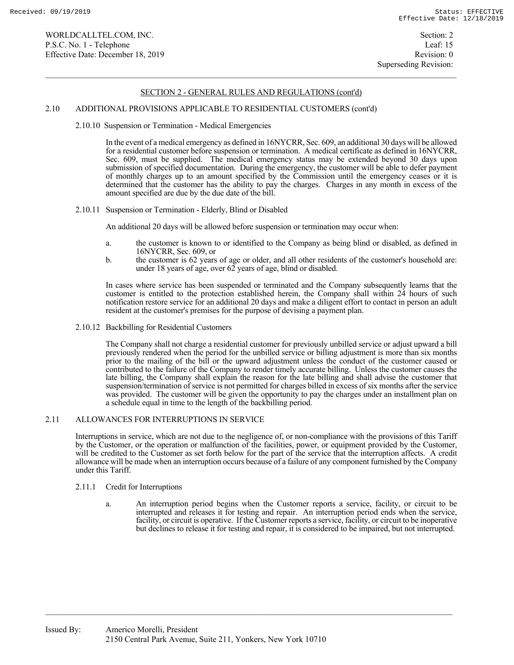Superseding Revision:

## SECTION 2 - GENERAL RULES AND REGULATIONS (cont'd)

#### 2.10 ADDITIONAL PROVISIONS APPLICABLE TO RESIDENTIAL CUSTOMERS (cont'd)

2.10.10 Suspension or Termination - Medical Emergencies

 In the event of a medical emergency as defined in 16NYCRR, Sec. 609, an additional 30 days will be allowed for a residential customer before suspension or termination. A medical certificate as defined in 16NYCRR, Sec. 609, must be supplied. The medical emergency status may be extended beyond 30 days upon submission of specified documentation. During the emergency, the customer will be able to defer payment of monthly charges up to an amount specified by the Commission until the emergency ceases or it is determined that the customer has the ability to pay the charges. Charges in any month in excess of the amount specified are due by the due date of the bill.

2.10.11 Suspension or Termination - Elderly, Blind or Disabled

An additional 20 days will be allowed before suspension or termination may occur when:

- a. the customer is known to or identified to the Company as being blind or disabled, as defined in 16NYCRR, Sec. 609, or
- b. the customer is 62 years of age or older, and all other residents of the customer's household are: under 18 years of age, over 62 years of age, blind or disabled.

 In cases where service has been suspended or terminated and the Company subsequently learns that the customer is entitled to the protection established herein, the Company shall within 24 hours of such notification restore service for an additional 20 days and make a diligent effort to contact in person an adult resident at the customer's premises for the purpose of devising a payment plan.

2.10.12 Backbilling for Residential Customers

 The Company shall not charge a residential customer for previously unbilled service or adjust upward a bill previously rendered when the period for the unbilled service or billing adjustment is more than six months prior to the mailing of the bill or the upward adjustment unless the conduct of the customer caused or contributed to the failure of the Company to render timely accurate billing. Unless the customer causes the late billing, the Company shall explain the reason for the late billing and shall advise the customer that suspension/termination of service is not permitted for charges billed in excess of six months after the service was provided. The customer will be given the opportunity to pay the charges under an installment plan on a schedule equal in time to the length of the backbilling period.

### 2.11 ALLOWANCES FOR INTERRUPTIONS IN SERVICE

 Interruptions in service, which are not due to the negligence of, or non-compliance with the provisions of this Tariff by the Customer, or the operation or malfunction of the facilities, power, or equipment provided by the Customer, will be credited to the Customer as set forth below for the part of the service that the interruption affects. A credit allowance will be made when an interruption occurs because of a failure of any component furnished by the Company under this Tariff.

- 2.11.1 Credit for Interruptions
	- a. An interruption period begins when the Customer reports a service, facility, or circuit to be interrupted and releases it for testing and repair. An interruption period ends when the service, facility, or circuit is operative. If the Customer reports a service, facility, or circuit to be inoperative but declines to release it for testing and repair, it is considered to be impaired, but not interrupted.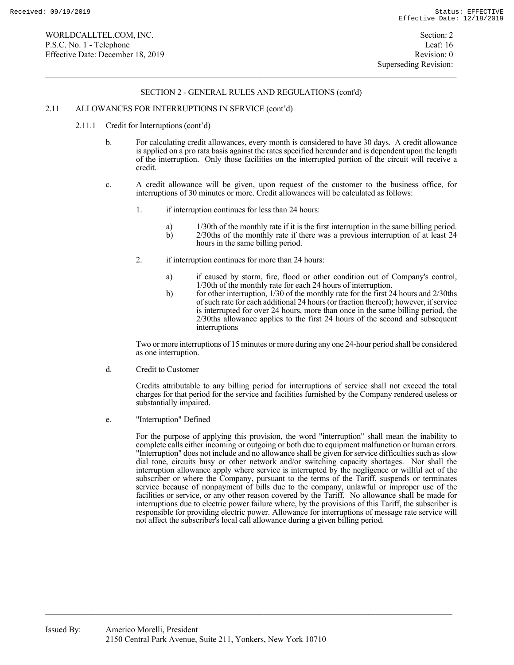#### 2.11 ALLOWANCES FOR INTERRUPTIONS IN SERVICE (cont'd)

- 2.11.1 Credit for Interruptions (cont'd)
	- b. For calculating credit allowances, every month is considered to have 30 days. A credit allowance is applied on a pro rata basis against the rates specified hereunder and is dependent upon the length of the interruption. Only those facilities on the interrupted portion of the circuit will receive a credit.
	- c. A credit allowance will be given, upon request of the customer to the business office, for interruptions of 30 minutes or more. Credit allowances will be calculated as follows:
		- 1. if interruption continues for less than 24 hours:
			- a) 1/30th of the monthly rate if it is the first interruption in the same billing period.<br>b) 2/30ths of the monthly rate if there was a previous interruption of at least 24
			- b) 2/30ths of the monthly rate if there was a previous interruption of at least 24 hours in the same billing period.
		- 2. if interruption continues for more than 24 hours:
			- a) if caused by storm, fire, flood or other condition out of Company's control, 1/30th of the monthly rate for each 24 hours of interruption.
			- b) for other interruption, 1/30 of the monthly rate for the first 24 hours and 2/30ths of such rate for each additional 24 hours (or fraction thereof); however, if service is interrupted for over 24 hours, more than once in the same billing period, the 2/30ths allowance applies to the first 24 hours of the second and subsequent interruptions

 Two or more interruptions of 15 minutes or more during any one 24-hour period shall be considered as one interruption.

d. Credit to Customer

 Credits attributable to any billing period for interruptions of service shall not exceed the total charges for that period for the service and facilities furnished by the Company rendered useless or substantially impaired.

e. "Interruption" Defined

 For the purpose of applying this provision, the word "interruption" shall mean the inability to complete calls either incoming or outgoing or both due to equipment malfunction or human errors. "Interruption" does not include and no allowance shall be given for service difficulties such as slow dial tone, circuits busy or other network and/or switching capacity shortages. Nor shall the interruption allowance apply where service is interrupted by the negligence or willful act of the subscriber or where the Company, pursuant to the terms of the Tariff, suspends or terminates service because of nonpayment of bills due to the company, unlawful or improper use of the facilities or service, or any other reason covered by the Tariff. No allowance shall be made for interruptions due to electric power failure where, by the provisions of this Tariff, the subscriber is responsible for providing electric power. Allowance for interruptions of message rate service will not affect the subscriber's local call allowance during a given billing period.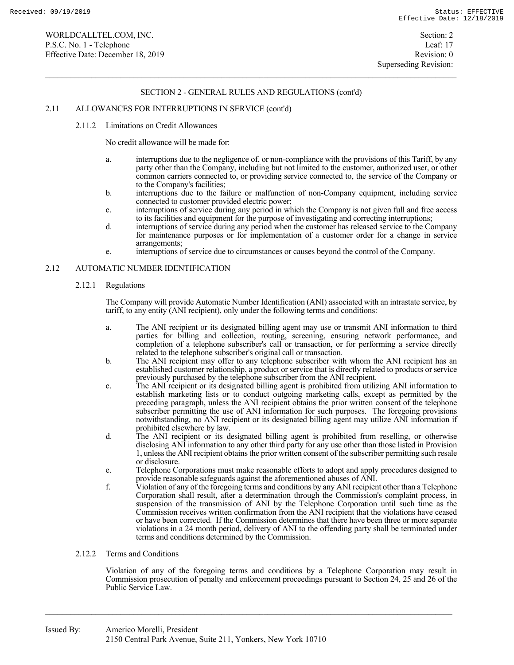### 2.11 ALLOWANCES FOR INTERRUPTIONS IN SERVICE (cont'd)

2.11.2 Limitations on Credit Allowances

No credit allowance will be made for:

- a. interruptions due to the negligence of, or non-compliance with the provisions of this Tariff, by any party other than the Company, including but not limited to the customer, authorized user, or other common carriers connected to, or providing service connected to, the service of the Company or to the Company's facilities;
- b. interruptions due to the failure or malfunction of non-Company equipment, including service connected to customer provided electric power;
- c. interruptions of service during any period in which the Company is not given full and free access to its facilities and equipment for the purpose of investigating and correcting interruptions;
- d. interruptions of service during any period when the customer has released service to the Company for maintenance purposes or for implementation of a customer order for a change in service arrangements;
- e. interruptions of service due to circumstances or causes beyond the control of the Company.

### 2.12 AUTOMATIC NUMBER IDENTIFICATION

#### 2.12.1 Regulations

 The Company will provide Automatic Number Identification (ANI) associated with an intrastate service, by tariff, to any entity (ANI recipient), only under the following terms and conditions:

- a. The ANI recipient or its designated billing agent may use or transmit ANI information to third parties for billing and collection, routing, screening, ensuring network performance, and completion of a telephone subscriber's call or transaction, or for performing a service directly related to the telephone subscriber's original call or transaction.
- b. The ANI recipient may offer to any telephone subscriber with whom the ANI recipient has an established customer relationship, a product or service that is directly related to products or service previously purchased by the telephone subscriber from the ANI recipient.
- c. The ANI recipient or its designated billing agent is prohibited from utilizing ANI information to establish marketing lists or to conduct outgoing marketing calls, except as permitted by the preceding paragraph, unless the ANI recipient obtains the prior written consent of the telephone subscriber permitting the use of ANI information for such purposes. The foregoing provisions notwithstanding, no ANI recipient or its designated billing agent may utilize ANI information if prohibited elsewhere by law.
	- d. The ANI recipient or its designated billing agent is prohibited from reselling, or otherwise disclosing ANI information to any other third party for any use other than those listed in Provision 1, unless the ANI recipient obtains the prior written consent of the subscriber permitting such resale or disclosure.
	- e. Telephone Corporations must make reasonable efforts to adopt and apply procedures designed to provide reasonable safeguards against the aforementioned abuses of ANI.
	- f. Violation of any of the foregoing terms and conditions by any ANI recipient other than a Telephone Corporation shall result, after a determination through the Commission's complaint process, in suspension of the transmission of ANI by the Telephone Corporation until such time as the Commission receives written confirmation from the ANI recipient that the violations have ceased or have been corrected. If the Commission determines that there have been three or more separate violations in a 24 month period, delivery of ANI to the offending party shall be terminated under terms and conditions determined by the Commission.

#### 2.12.2 Terms and Conditions

 Violation of any of the foregoing terms and conditions by a Telephone Corporation may result in Commission prosecution of penalty and enforcement proceedings pursuant to Section 24, 25 and 26 of the Public Service Law.